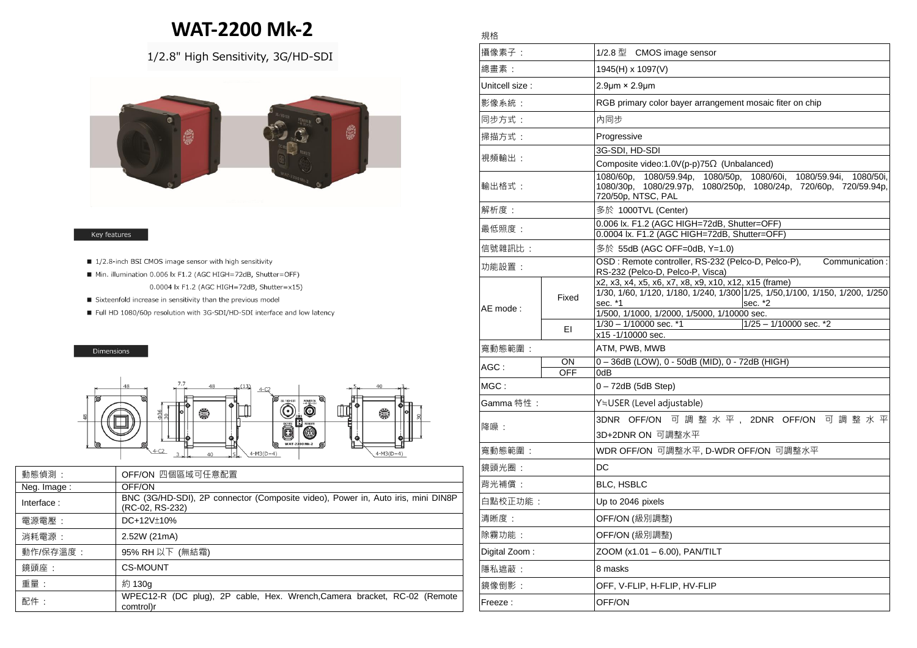# **WAT-2200 Mk-2**

## 1/2.8" High Sensitivity, 3G/HD-SDI



#### Key features

- 1/2.8-inch BSI CMOS image sensor with high sensitivity
- Min. illumination 0.006 lx F1.2 (AGC HIGH=72dB, Shutter=OFF) 0.0004 lx F1.2 (AGC HIGH=72dB, Shutter=x15)
- Sixteenfold increase in sensitivity than the previous model
- Full HD 1080/60p resolution with 3G-SDI/HD-SDI interface and low latency

#### Dimensions



| 動態偵測:       | OFF/ON 四個區域可任意配置                                                                                    |
|-------------|-----------------------------------------------------------------------------------------------------|
| Neg. Image: | OFF/ON                                                                                              |
| Interface:  | BNC (3G/HD-SDI), 2P connector (Composite video), Power in, Auto iris, mini DIN8P<br>(RC-02, RS-232) |
| 電源電壓:       | DC+12V±10%                                                                                          |
| 消耗電源:       | 2.52W (21mA)                                                                                        |
| 動作/保存溫度:    | 95% RH 以下 (無結霜)                                                                                     |
| 鏡頭座:        | <b>CS-MOUNT</b>                                                                                     |
| 重量:         | 約 130g                                                                                              |
| 配件:         | WPEC12-R (DC plug), 2P cable, Hex. Wrench, Camera bracket, RC-02 (Remote<br>comtrol)r               |

### 規格

| 攝像素子:           |                  | 1/2.8 型 CMOS image sensor                                                                                                                                                                                   |
|-----------------|------------------|-------------------------------------------------------------------------------------------------------------------------------------------------------------------------------------------------------------|
| 總畫素:            |                  | 1945(H) x 1097(V)                                                                                                                                                                                           |
| Unitcell size : |                  | $2.9 \mu m \times 2.9 \mu m$                                                                                                                                                                                |
| 影像系統:           |                  | RGB primary color bayer arrangement mosaic fiter on chip                                                                                                                                                    |
| 同步方式:           |                  | 內同步                                                                                                                                                                                                         |
| 掃描方式:           |                  | Progressive                                                                                                                                                                                                 |
| 視頻輸出:           |                  | 3G-SDI, HD-SDI                                                                                                                                                                                              |
|                 |                  | Composite video:1.0V(p-p)75Ω (Unbalanced)                                                                                                                                                                   |
| 輸出格式:           |                  | 1080/60p.<br>1080/59.94p, 1080/50p, 1080/60i,<br>1080/59.94i,<br>1080/50i,<br>1080/29.97p, 1080/250p, 1080/24p, 720/60p, 720/59.94p,<br>1080/30p,<br>720/50p, NTSC, PAL                                     |
| 解析度:            |                  | 多於 1000TVL (Center)                                                                                                                                                                                         |
| 最低照度:           |                  | 0.006 lx. F1.2 (AGC HIGH=72dB, Shutter=OFF)<br>0.0004 lx. F1.2 (AGC HIGH=72dB, Shutter=OFF)                                                                                                                 |
| 信號雜訊比:          |                  | 多於 55dB (AGC OFF=0dB, Y=1.0)                                                                                                                                                                                |
| 功能設置:           |                  | OSD: Remote controller, RS-232 (Pelco-D, Pelco-P),<br>Communication:<br>RS-232 (Pelco-D, Pelco-P, Visca)                                                                                                    |
| AE mode:        | Fixed            | x2, x3, x4, x5, x6, x7, x8, x9, x10, x12, x15 (frame)<br>1/30, 1/60, 1/120, 1/180, 1/240, 1/300 1/25, 1/50, 1/100, 1/150, 1/200, 1/250<br>sec. *1<br>sec. *2<br>1/500, 1/1000, 1/2000, 1/5000, 1/10000 sec. |
|                 | ΕI               | 1/30 - 1/10000 sec. *1<br>$1/25 - 1/10000$ sec. *2<br>x15 -1/10000 sec.                                                                                                                                     |
| 寬動態範圍:          |                  | ATM, PWB, MWB                                                                                                                                                                                               |
| $AGC$ :         | ON<br><b>OFF</b> | 0-36dB (LOW), 0 - 50dB (MID), 0 - 72dB (HIGH)<br>0dB                                                                                                                                                        |
| MGC:            |                  | $0 - 72dB$ (5dB Step)                                                                                                                                                                                       |
| Gamma 特性:       |                  | Y≒USER (Level adjustable)                                                                                                                                                                                   |
| 降噪:             |                  | 3DNR OFF/ON 可 調 整 水 平 , 2DNR OFF/ON 可 調 整 水 平                                                                                                                                                               |
|                 |                  | 3D+2DNR ON 可調整水平                                                                                                                                                                                            |
| 寬動態範圍 :         |                  | WDR OFF/ON 可調整水平, D-WDR OFF/ON 可調整水平                                                                                                                                                                        |
| 鏡頭光圈:           |                  | DC                                                                                                                                                                                                          |
| 背光補償:           |                  | <b>BLC, HSBLC</b>                                                                                                                                                                                           |
| 白點校正功能:         |                  | Up to 2046 pixels                                                                                                                                                                                           |
| 清晰度:            |                  | OFF/ON (級別調整)                                                                                                                                                                                               |
| 除霧功能:           |                  | OFF/ON (級別調整)                                                                                                                                                                                               |
| Digital Zoom:   |                  | ZOOM (x1.01 - 6.00), PAN/TILT                                                                                                                                                                               |
| 隱私遮蔽:           |                  | 8 masks                                                                                                                                                                                                     |
| 鏡像倒影:           |                  | OFF, V-FLIP, H-FLIP, HV-FLIP                                                                                                                                                                                |
| Freeze :        |                  | OFF/ON                                                                                                                                                                                                      |
|                 |                  |                                                                                                                                                                                                             |